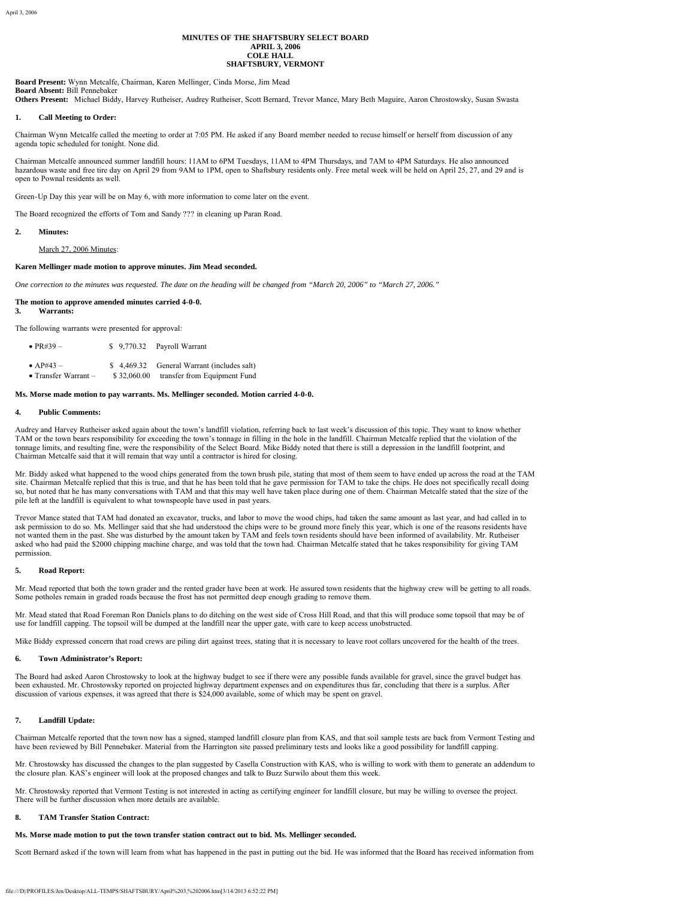# **MINUTES OF THE SHAFTSBURY SELECT BOARD APRIL 3, 2006 COLE HALL SHAFTSBURY, VERMONT**

**Board Present:** Wynn Metcalfe, Chairman, Karen Mellinger, Cinda Morse, Jim Mead **Board Absent:** Bill Pennebaker

**Others Present:** Michael Biddy, Harvey Rutheiser, Audrey Rutheiser, Scott Bernard, Trevor Mance, Mary Beth Maguire, Aaron Chrostowsky, Susan Swasta

# **1. Call Meeting to Order:**

Chairman Wynn Metcalfe called the meeting to order at 7:05 PM. He asked if any Board member needed to recuse himself or herself from discussion of any agenda topic scheduled for tonight. None did.

Chairman Metcalfe announced summer landfill hours: 11AM to 6PM Tuesdays, 11AM to 4PM Thursdays, and 7AM to 4PM Saturdays. He also announced hazardous waste and free tire day on April 29 from 9AM to 1PM, open to Shaftsbury residents only. Free metal week will be held on April 25, 27, and 29 and is open to Pownal residents as well.

Green-Up Day this year will be on May 6, with more information to come later on the event.

The Board recognized the efforts of Tom and Sandy ??? in cleaning up Paran Road.

### **2. Minutes:**

**March 27, 2006 Minutes:** 

# **Karen Mellinger made motion to approve minutes. Jim Mead seconded.**

*One correction to the minutes was requested. The date on the heading will be changed from "March 20, 2006" to "March 27, 2006."*

#### **The motion to approve amended minutes carried 4-0-0. 3. Warrants:**

The following warrants were presented for approval:

| $\bullet$ PR#39 –      |             | \$ 9,770.32 Payroll Warrant                |
|------------------------|-------------|--------------------------------------------|
| • $AP#43 -$            |             | \$4,469.32 General Warrant (includes salt) |
| • Transfer Warrant $-$ | \$32,060.00 | transfer from Equipment Fund               |

# **Ms. Morse made motion to pay warrants. Ms. Mellinger seconded. Motion carried 4-0-0.**

### **4. Public Comments:**

Audrey and Harvey Rutheiser asked again about the town's landfill violation, referring back to last week's discussion of this topic. They want to know whether TAM or the town bears responsibility for exceeding the town's tonnage in filling in the hole in the landfill. Chairman Metcalfe replied that the violation of the tonnage limits, and resulting fine, were the responsibility of the Select Board. Mike Biddy noted that there is still a depression in the landfill footprint, and Chairman Metcalfe said that it will remain that way until a contractor is hired for closing.

Mr. Biddy asked what happened to the wood chips generated from the town brush pile, stating that most of them seem to have ended up across the road at the TAM site. Chairman Metcalfe replied that this is true, and that he has been told that he gave permission for TAM to take the chips. He does not specifically recall doing so, but noted that he has many conversations with TAM and that this may well have taken place during one of them. Chairman Metcalfe stated that the size of the pile left at the landfill is equivalent to what townspeople have used in past years.

Trevor Mance stated that TAM had donated an excavator, trucks, and labor to move the wood chips, had taken the same amount as last year, and had called in to ask permission to do so. Ms. Mellinger said that she had understood the chips were to be ground more finely this year, which is one of the reasons residents have not wanted them in the past. She was disturbed by the amount taken by TAM and feels town residents should have been informed of availability. Mr. Rutheiser asked who had paid the \$2000 chipping machine charge, and was told that the town had. Chairman Metcalfe stated that he takes responsibility for giving TAM permission.

#### **5. Road Report:**

Mr. Mead reported that both the town grader and the rented grader have been at work. He assured town residents that the highway crew will be getting to all roads. Some potholes remain in graded roads because the frost has not permitted deep enough grading to remove them.

Mr. Mead stated that Road Foreman Ron Daniels plans to do ditching on the west side of Cross Hill Road, and that this will produce some topsoil that may be of use for landfill capping. The topsoil will be dumped at the landfill near the upper gate, with care to keep access unobstructed.

Mike Biddy expressed concern that road crews are piling dirt against trees, stating that it is necessary to leave root collars uncovered for the health of the trees.

# **6. Town Administrator's Report:**

The Board had asked Aaron Chrostowsky to look at the highway budget to see if there were any possible funds available for gravel, since the gravel budget has been exhausted. Mr. Chrostowsky reported on projected highway department expenses and on expenditures thus far, concluding that there is a surplus. After discussion of various expenses, it was agreed that there is \$24,000 available, some of which may be spent on gravel.

# **7. Landfill Update:**

Chairman Metcalfe reported that the town now has a signed, stamped landfill closure plan from KAS, and that soil sample tests are back from Vermont Testing and have been reviewed by Bill Pennebaker. Material from the Harrington site passed preliminary tests and looks like a good possibility for landfill capping.

Mr. Chrostowsky has discussed the changes to the plan suggested by Casella Construction with KAS, who is willing to work with them to generate an addendum to the closure plan. KAS's engineer will look at the proposed changes and talk to Buzz Surwilo about them this week.

Mr. Chrostowsky reported that Vermont Testing is not interested in acting as certifying engineer for landfill closure, but may be willing to oversee the project. There will be further discussion when more details are available.

# **8. TAM Transfer Station Contract:**

# **Ms. Morse made motion to put the town transfer station contract out to bid. Ms. Mellinger seconded.**

Scott Bernard asked if the town will learn from what has happened in the past in putting out the bid. He was informed that the Board has received information from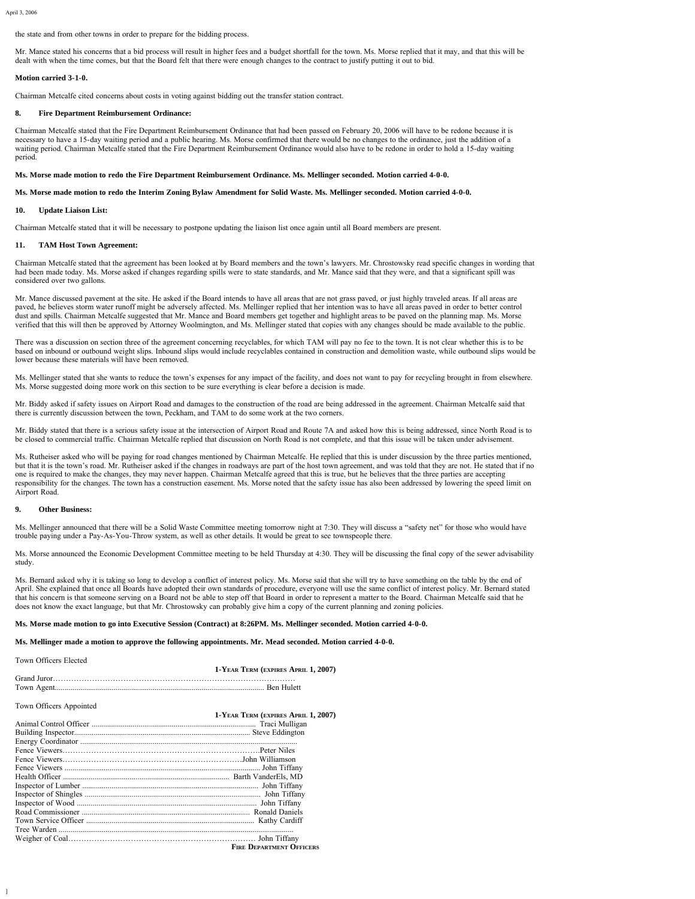the state and from other towns in order to prepare for the bidding process.

Mr. Mance stated his concerns that a bid process will result in higher fees and a budget shortfall for the town. Ms. Morse replied that it may, and that this will be dealt with when the time comes, but that the Board felt that there were enough changes to the contract to justify putting it out to bid.

## **Motion carried 3-1-0.**

Chairman Metcalfe cited concerns about costs in voting against bidding out the transfer station contract.

## **8. Fire Department Reimbursement Ordinance:**

Chairman Metcalfe stated that the Fire Department Reimbursement Ordinance that had been passed on February 20, 2006 will have to be redone because it is necessary to have a 15-day waiting period and a public hearing. Ms. Morse confirmed that there would be no changes to the ordinance, just the addition of a waiting period. Chairman Metcalfe stated that the Fire Department Reimbursement Ordinance would also have to be redone in order to hold a 15-day waiting period.

### **Ms. Morse made motion to redo the Fire Department Reimbursement Ordinance. Ms. Mellinger seconded. Motion carried 4-0-0.**

# **Ms. Morse made motion to redo the Interim Zoning Bylaw Amendment for Solid Waste. Ms. Mellinger seconded. Motion carried 4-0-0.**

# **10. Update Liaison List:**

Chairman Metcalfe stated that it will be necessary to postpone updating the liaison list once again until all Board members are present.

### **11. TAM Host Town Agreement:**

Chairman Metcalfe stated that the agreement has been looked at by Board members and the town's lawyers. Mr. Chrostowsky read specific changes in wording that had been made today. Ms. Morse asked if changes regarding spills were to state standards, and Mr. Mance said that they were, and that a significant spill was considered over two gallons.

Mr. Mance discussed pavement at the site. He asked if the Board intends to have all areas that are not grass paved, or just highly traveled areas. If all areas are paved, he believes storm water runoff might be adversely affected. Ms. Mellinger replied that her intention was to have all areas paved in order to better control dust and spills. Chairman Metcalfe suggested that Mr. Mance and Board members get together and highlight areas to be paved on the planning map. Ms. Morse verified that this will then be approved by Attorney Woolmington, and Ms. Mellinger stated that copies with any changes should be made available to the public.

There was a discussion on section three of the agreement concerning recyclables, for which TAM will pay no fee to the town. It is not clear whether this is to be based on inbound or outbound weight slips. Inbound slips would include recyclables contained in construction and demolition waste, while outbound slips would be lower because these materials will have been removed.

Ms. Mellinger stated that she wants to reduce the town's expenses for any impact of the facility, and does not want to pay for recycling brought in from elsewhere. Ms. Morse suggested doing more work on this section to be sure everything is clear before a decision is made.

Mr. Biddy asked if safety issues on Airport Road and damages to the construction of the road are being addressed in the agreement. Chairman Metcalfe said that there is currently discussion between the town, Peckham, and TAM to do some work at the two corners.

Mr. Biddy stated that there is a serious safety issue at the intersection of Airport Road and Route 7A and asked how this is being addressed, since North Road is to be closed to commercial traffic. Chairman Metcalfe replied that discussion on North Road is not complete, and that this issue will be taken under advisement.

Ms. Rutheiser asked who will be paying for road changes mentioned by Chairman Metcalfe. He replied that this is under discussion by the three parties mentioned, but that it is the town's road. Mr. Rutheiser asked if the changes in roadways are part of the host town agreement, and was told that they are not. He stated that if no<br>one is required to make the changes, they may never h responsibility for the changes. The town has a construction easement. Ms. Morse noted that the safety issue has also been addressed by lowering the speed limit on Airport Road.

# **9. Other Business:**

Ms. Mellinger announced that there will be a Solid Waste Committee meeting tomorrow night at 7:30. They will discuss a "safety net" for those who would have trouble paying under a Pay-As-You-Throw system, as well as other details. It would be great to see townspeople there.

Ms. Morse announced the Economic Development Committee meeting to be held Thursday at 4:30. They will be discussing the final copy of the sewer advisability study.

Ms. Bernard asked why it is taking so long to develop a conflict of interest policy. Ms. Morse said that she will try to have something on the table by the end of April. She explained that once all Boards have adopted their own standards of procedure, everyone will use the same conflict of interest policy. Mr. Bernard stated that his concern is that someone serving on a Board not be able to step off that Board in order to represent a matter to the Board. Chairman Metcalfe said that he<br>does not know the exact language, but that Mr. Chrostowsky

### **Ms. Morse made motion to go into Executive Session (Contract) at 8:26PM. Ms. Mellinger seconded. Motion carried 4-0-0.**

### **Ms. Mellinger made a motion to approve the following appointments. Mr. Mead seconded. Motion carried 4-0-0.**

| Town Officers Elected   |                                     |
|-------------------------|-------------------------------------|
|                         | 1-YEAR TERM (EXPIRES APRIL 1, 2007) |
|                         |                                     |
|                         |                                     |
|                         |                                     |
| Town Officers Appointed |                                     |
|                         | 1-YEAR TERM (EXPIRES APRIL 1, 2007) |
|                         |                                     |
|                         |                                     |
|                         |                                     |
|                         |                                     |
|                         |                                     |
|                         |                                     |
|                         |                                     |
|                         |                                     |
|                         |                                     |
|                         |                                     |
|                         |                                     |
|                         |                                     |
|                         |                                     |
|                         |                                     |
|                         | <b>FIRE DEPARTMENT OFFICERS</b>     |